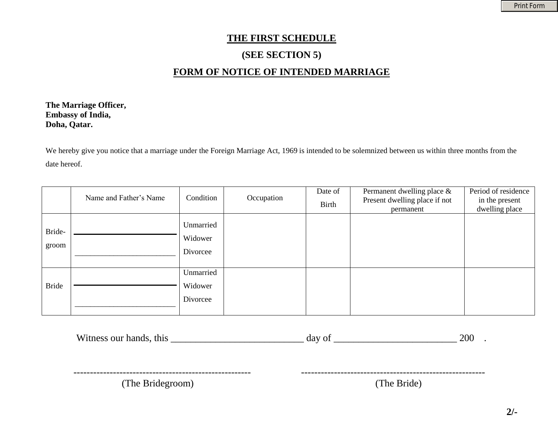# **THE FIRST SCHEDULE**

# **(SEE SECTION 5)**

# **FORM OF NOTICE OF INTENDED MARRIAGE**

**The Marriage Officer, Embassy of India, Doha, Qatar.** 

We hereby give you notice that a marriage under the Foreign Marriage Act, 1969 is intended to be solemnized between us within three months from the date hereof.

|                 | Name and Father's Name | Condition                        | Occupation | Date of<br>Birth | Permanent dwelling place &<br>Present dwelling place if not<br>permanent | Period of residence<br>in the present<br>dwelling place |
|-----------------|------------------------|----------------------------------|------------|------------------|--------------------------------------------------------------------------|---------------------------------------------------------|
| Bride-<br>groom |                        | Unmarried<br>Widower<br>Divorcee |            |                  |                                                                          |                                                         |
| <b>Bride</b>    |                        | Unmarried<br>Widower<br>Divorcee |            |                  |                                                                          |                                                         |

| Witness our hands, this | 200<br>day of |
|-------------------------|---------------|
|                         |               |
| (The Bridegroom)        | (The Bride)   |